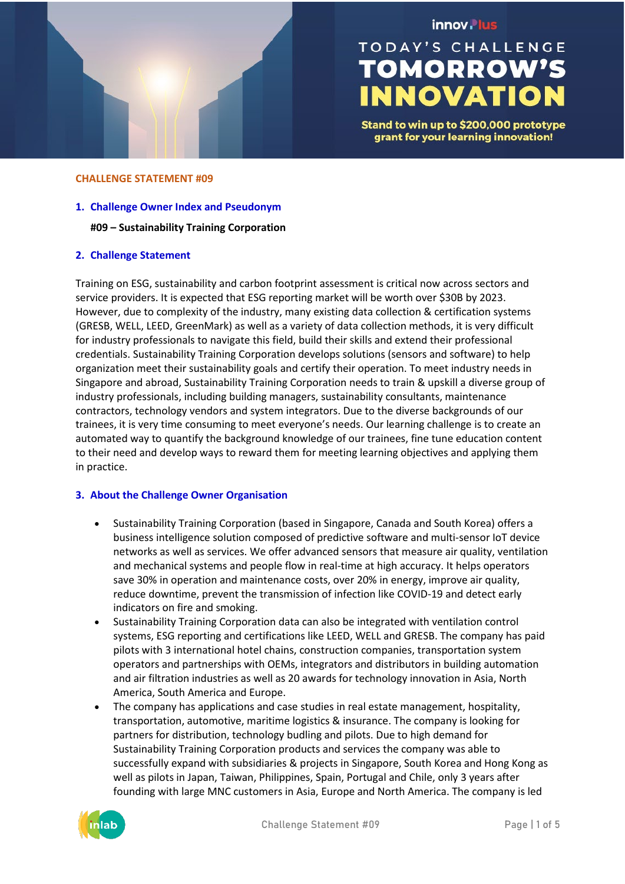

## innov. lus

# **TODAY'S CHALLENGE TOMORROW'S INNOVATION**

Stand to win up to \$200,000 prototype grant for your learning innovation!

#### **CHALLENGE STATEMENT #09**

#### **1. Challenge Owner Index and Pseudonym**

## **#09 – Sustainability Training Corporation**

## **2. Challenge Statement**

Training on ESG, sustainability and carbon footprint assessment is critical now across sectors and service providers. It is expected that ESG reporting market will be worth over \$30B by 2023. However, due to complexity of the industry, many existing data collection & certification systems (GRESB, WELL, LEED, GreenMark) as well as a variety of data collection methods, it is very difficult for industry professionals to navigate this field, build their skills and extend their professional credentials. Sustainability Training Corporation develops solutions (sensors and software) to help organization meet their sustainability goals and certify their operation. To meet industry needs in Singapore and abroad, Sustainability Training Corporation needs to train & upskill a diverse group of industry professionals, including building managers, sustainability consultants, maintenance contractors, technology vendors and system integrators. Due to the diverse backgrounds of our trainees, it is very time consuming to meet everyone's needs. Our learning challenge is to create an automated way to quantify the background knowledge of our trainees, fine tune education content to their need and develop ways to reward them for meeting learning objectives and applying them in practice.

## **3. About the Challenge Owner Organisation**

- Sustainability Training Corporation (based in Singapore, Canada and South Korea) offers a business intelligence solution composed of predictive software and multi-sensor IoT device networks as well as services. We offer advanced sensors that measure air quality, ventilation and mechanical systems and people flow in real-time at high accuracy. It helps operators save 30% in operation and maintenance costs, over 20% in energy, improve air quality, reduce downtime, prevent the transmission of infection like COVID-19 and detect early indicators on fire and smoking.
- Sustainability Training Corporation data can also be integrated with ventilation control systems, ESG reporting and certifications like LEED, WELL and GRESB. The company has paid pilots with 3 international hotel chains, construction companies, transportation system operators and partnerships with OEMs, integrators and distributors in building automation and air filtration industries as well as 20 awards for technology innovation in Asia, North America, South America and Europe.
- The company has applications and case studies in real estate management, hospitality, transportation, automotive, maritime logistics & insurance. The company is looking for partners for distribution, technology budling and pilots. Due to high demand for Sustainability Training Corporation products and services the company was able to successfully expand with subsidiaries & projects in Singapore, South Korea and Hong Kong as well as pilots in Japan, Taiwan, Philippines, Spain, Portugal and Chile, only 3 years after founding with large MNC customers in Asia, Europe and North America. The company is led

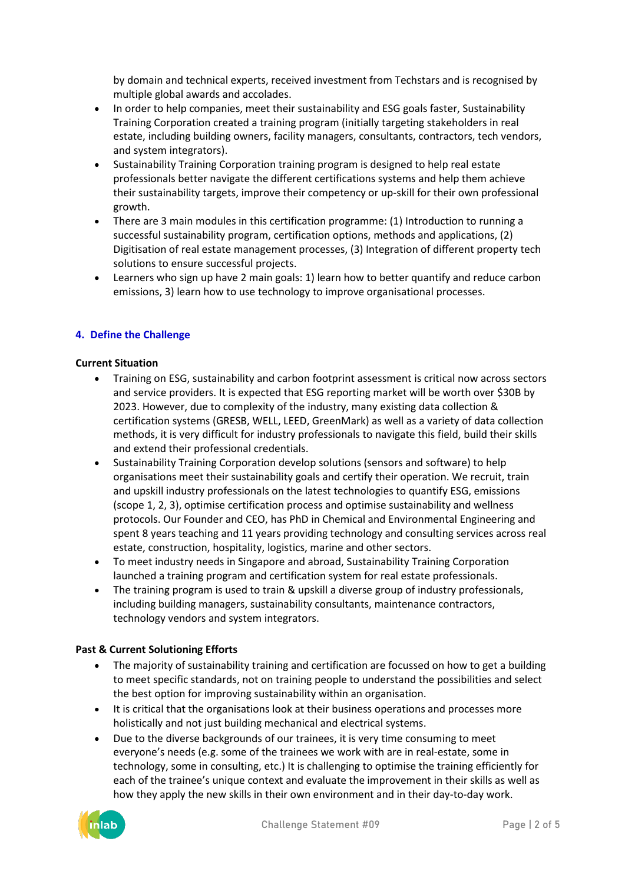by domain and technical experts, received investment from Techstars and is recognised by multiple global awards and accolades.

- In order to help companies, meet their sustainability and ESG goals faster, Sustainability Training Corporation created a training program (initially targeting stakeholders in real estate, including building owners, facility managers, consultants, contractors, tech vendors, and system integrators).
- Sustainability Training Corporation training program is designed to help real estate professionals better navigate the different certifications systems and help them achieve their sustainability targets, improve their competency or up-skill for their own professional growth.
- There are 3 main modules in this certification programme: (1) Introduction to running a successful sustainability program, certification options, methods and applications, (2) Digitisation of real estate management processes, (3) Integration of different property tech solutions to ensure successful projects.
- Learners who sign up have 2 main goals: 1) learn how to better quantify and reduce carbon emissions, 3) learn how to use technology to improve organisational processes.

## **4. Define the Challenge**

## **Current Situation**

- Training on ESG, sustainability and carbon footprint assessment is critical now across sectors and service providers. It is expected that ESG reporting market will be worth over \$30B by 2023. However, due to complexity of the industry, many existing data collection & certification systems (GRESB, WELL, LEED, GreenMark) as well as a variety of data collection methods, it is very difficult for industry professionals to navigate this field, build their skills and extend their professional credentials.
- Sustainability Training Corporation develop solutions (sensors and software) to help organisations meet their sustainability goals and certify their operation. We recruit, train and upskill industry professionals on the latest technologies to quantify ESG, emissions (scope 1, 2, 3), optimise certification process and optimise sustainability and wellness protocols. Our Founder and CEO, has PhD in Chemical and Environmental Engineering and spent 8 years teaching and 11 years providing technology and consulting services across real estate, construction, hospitality, logistics, marine and other sectors.
- To meet industry needs in Singapore and abroad, Sustainability Training Corporation launched a training program and certification system for real estate professionals.
- The training program is used to train & upskill a diverse group of industry professionals, including building managers, sustainability consultants, maintenance contractors, technology vendors and system integrators.

## **Past & Current Solutioning Efforts**

- The majority of sustainability training and certification are focussed on how to get a building to meet specific standards, not on training people to understand the possibilities and select the best option for improving sustainability within an organisation.
- It is critical that the organisations look at their business operations and processes more holistically and not just building mechanical and electrical systems.
- Due to the diverse backgrounds of our trainees, it is very time consuming to meet everyone's needs (e.g. some of the trainees we work with are in real-estate, some in technology, some in consulting, etc.) It is challenging to optimise the training efficiently for each of the trainee's unique context and evaluate the improvement in their skills as well as how they apply the new skills in their own environment and in their day-to-day work.

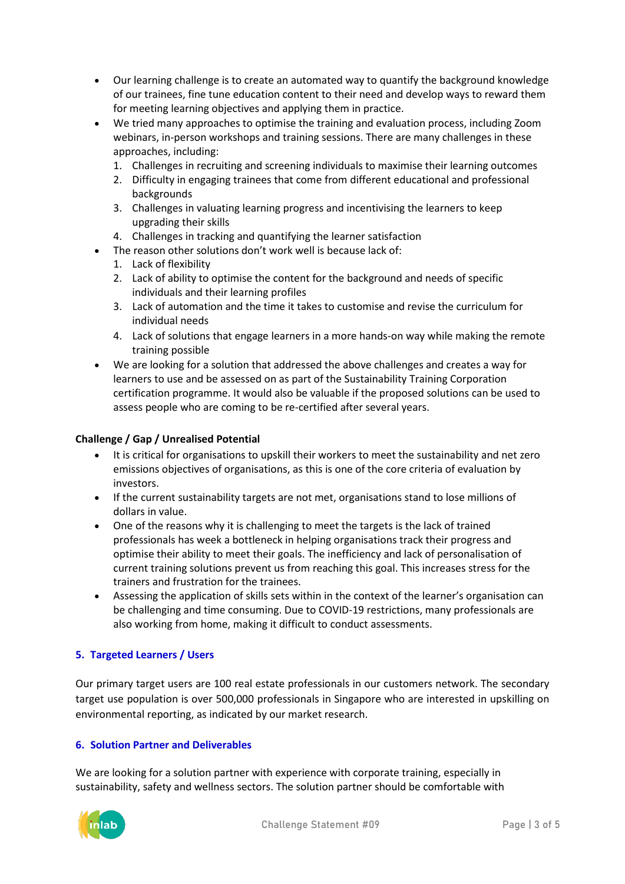- Our learning challenge is to create an automated way to quantify the background knowledge of our trainees, fine tune education content to their need and develop ways to reward them for meeting learning objectives and applying them in practice.
- We tried many approaches to optimise the training and evaluation process, including Zoom webinars, in-person workshops and training sessions. There are many challenges in these approaches, including:
	- 1. Challenges in recruiting and screening individuals to maximise their learning outcomes
	- 2. Difficulty in engaging trainees that come from different educational and professional backgrounds
	- 3. Challenges in valuating learning progress and incentivising the learners to keep upgrading their skills
	- 4. Challenges in tracking and quantifying the learner satisfaction
- The reason other solutions don't work well is because lack of:
	- 1. Lack of flexibility
	- 2. Lack of ability to optimise the content for the background and needs of specific individuals and their learning profiles
	- 3. Lack of automation and the time it takes to customise and revise the curriculum for individual needs
	- 4. Lack of solutions that engage learners in a more hands-on way while making the remote training possible
- We are looking for a solution that addressed the above challenges and creates a way for learners to use and be assessed on as part of the Sustainability Training Corporation certification programme. It would also be valuable if the proposed solutions can be used to assess people who are coming to be re-certified after several years.

## **Challenge / Gap / Unrealised Potential**

- It is critical for organisations to upskill their workers to meet the sustainability and net zero emissions objectives of organisations, as this is one of the core criteria of evaluation by investors.
- If the current sustainability targets are not met, organisations stand to lose millions of dollars in value.
- One of the reasons why it is challenging to meet the targets is the lack of trained professionals has week a bottleneck in helping organisations track their progress and optimise their ability to meet their goals. The inefficiency and lack of personalisation of current training solutions prevent us from reaching this goal. This increases stress for the trainers and frustration for the trainees.
- Assessing the application of skills sets within in the context of the learner's organisation can be challenging and time consuming. Due to COVID-19 restrictions, many professionals are also working from home, making it difficult to conduct assessments.

## **5. Targeted Learners / Users**

Our primary target users are 100 real estate professionals in our customers network. The secondary target use population is over 500,000 professionals in Singapore who are interested in upskilling on environmental reporting, as indicated by our market research.

## **6. Solution Partner and Deliverables**

We are looking for a solution partner with experience with corporate training, especially in sustainability, safety and wellness sectors. The solution partner should be comfortable with

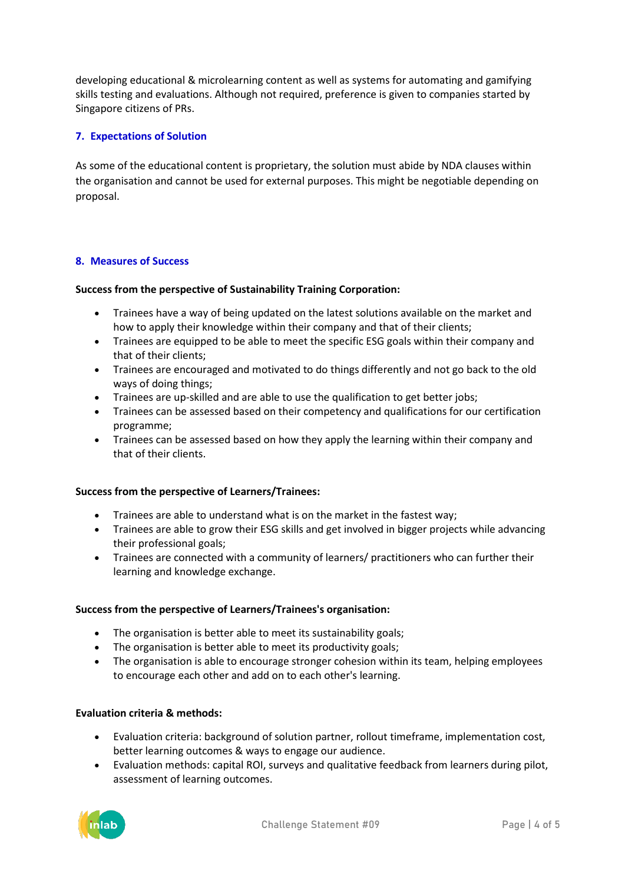developing educational & microlearning content as well as systems for automating and gamifying skills testing and evaluations. Although not required, preference is given to companies started by Singapore citizens of PRs.

## **7. Expectations of Solution**

As some of the educational content is proprietary, the solution must abide by NDA clauses within the organisation and cannot be used for external purposes. This might be negotiable depending on proposal.

## **8. Measures of Success**

## **Success from the perspective of Sustainability Training Corporation:**

- Trainees have a way of being updated on the latest solutions available on the market and how to apply their knowledge within their company and that of their clients;
- Trainees are equipped to be able to meet the specific ESG goals within their company and that of their clients;
- Trainees are encouraged and motivated to do things differently and not go back to the old ways of doing things;
- Trainees are up-skilled and are able to use the qualification to get better jobs;
- Trainees can be assessed based on their competency and qualifications for our certification programme;
- Trainees can be assessed based on how they apply the learning within their company and that of their clients.

## **Success from the perspective of Learners/Trainees:**

- Trainees are able to understand what is on the market in the fastest way;
- Trainees are able to grow their ESG skills and get involved in bigger projects while advancing their professional goals;
- Trainees are connected with a community of learners/ practitioners who can further their learning and knowledge exchange.

## **Success from the perspective of Learners/Trainees's organisation:**

- The organisation is better able to meet its sustainability goals;
- The organisation is better able to meet its productivity goals;
- The organisation is able to encourage stronger cohesion within its team, helping employees to encourage each other and add on to each other's learning.

## **Evaluation criteria & methods:**

- Evaluation criteria: background of solution partner, rollout timeframe, implementation cost, better learning outcomes & ways to engage our audience.
- Evaluation methods: capital ROI, surveys and qualitative feedback from learners during pilot, assessment of learning outcomes.